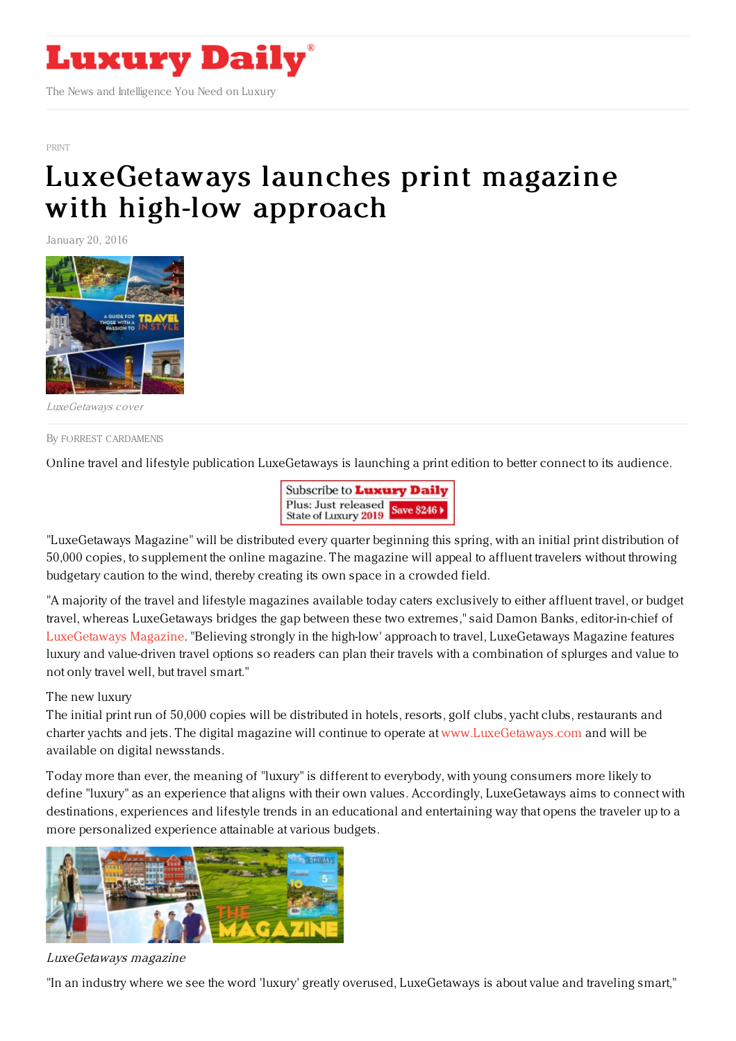

[PRINT](https://www.luxurydaily.com/category/news/print/)

# [LuxeGetaways](https://www.luxurydaily.com/luxegetaways-launches-print-magazine-with-high-low-approach/) launches print magazine with high-low approach

January 20, 2016



LuxeGetaways cover

#### By FORREST [CARDAMENIS](file:///author/forrest-cardamenis)

Online travel and lifestyle publication LuxeGetaways is launching a print edition to better connect to its audience.



"LuxeGetaways Magazine" will be distributed every quarter beginning this spring, with an initial print distribution of 50,000 copies, to supplement the online magazine. The magazine will appeal to affluent travelers without throwing budgetary caution to the wind, thereby creating its own space in a crowded field.

"A majority of the travel and lifestyle magazines available today caters exclusively to either affluent travel, or budget travel, whereas LuxeGetaways bridges the gap between these two extremes," said Damon Banks, editor-in-chief of [LuxeGetaways](http://www.luxegetaways.com) Magazine. "Believing strongly in the high-low' approach to travel, LuxeGetaways Magazine features luxury and value-driven travel options so readers can plan their travels with a combination of splurges and value to not only travel well, but travel smart."

# The new luxury

The initial print run of 50,000 copies will be distributed in hotels, resorts, golf clubs, yacht clubs, restaurants and charter yachts and jets. The digital magazine will continue to operate at [www.LuxeGetaways.com](http://www.luxegetaways.com) and will be available on digital newsstands.

Today more than ever, the meaning of "luxury" is different to everybody, with young consumers more likely to define "luxury" as an experience that aligns with their own values. Accordingly, LuxeGetaways aims to connect with destinations, experiences and lifestyle trends in an educational and entertaining way that opens the traveler up to a more personalized experience attainable at various budgets.



# LuxeGetaways magazine

"In an industry where we see the word 'luxury' greatly overused, LuxeGetaways is about value and traveling smart,"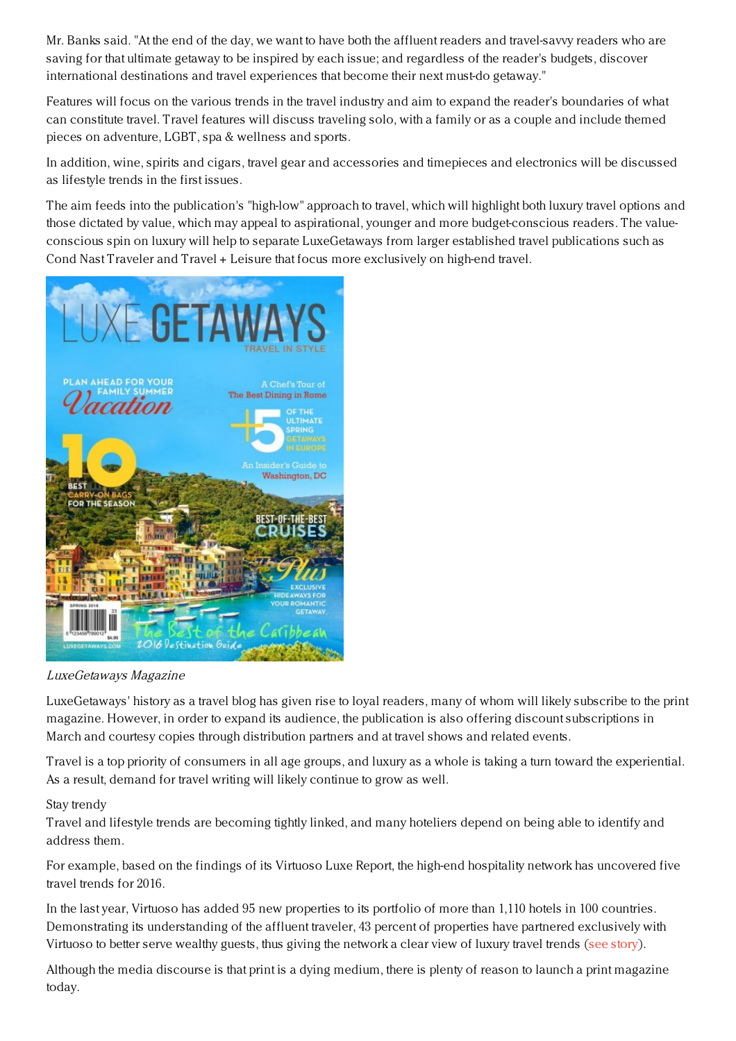Mr. Banks said. "At the end of the day, we want to have both the affluent readers and travel-savvy readers who are saving for that ultimate getaway to be inspired by each issue; and regardless of the reader's budgets, discover international destinations and travel experiences that become their next must-do getaway."

Features will focus on the various trends in the travel industry and aim to expand the reader's boundaries of what can constitute travel. Travel features will discuss traveling solo, with a family or as a couple and include themed pieces on adventure, LGBT, spa & wellness and sports.

In addition, wine, spirits and cigars, travel gear and accessories and timepieces and electronics will be discussed as lifestyle trends in the first issues.

The aim feeds into the publication's "high-low" approach to travel, which will highlight both luxury travel options and those dictated by value, which may appeal to aspirational, younger and more budget-conscious readers. The valueconscious spin on luxury will help to separate LuxeGetaways from larger established travel publications such as Cond Nast Traveler and Travel + Leisure that focus more exclusively on high-end travel.



# LuxeGetaways Magazine

LuxeGetaways' history as a travel blog has given rise to loyal readers, many of whom will likely subscribe to the print magazine. However, in order to expand its audience, the publication is also offering discount subscriptions in March and courtesy copies through distribution partners and at travel shows and related events.

Travel is a top priority of consumers in all age groups, and luxury as a whole is taking a turn toward the experiential. As a result, demand for travel writing will likely continue to grow as well.

# Stay trendy

Travel and lifestyle trends are becoming tightly linked, and many hoteliers depend on being able to identify and address them.

For example, based on the findings of its Virtuoso Luxe Report, the high-end hospitality network has uncovered five travel trends for 2016.

In the last year, Virtuoso has added 95 new properties to its portfolio of more than 1,110 hotels in 100 countries. Demonstrating its understanding of the affluent traveler, 43 percent of properties have partnered exclusively with Virtuoso to better serve wealthy guests, thus giving the network a clear view of luxury travel trends (see [story](https://www.luxurydaily.com/virtuoso-curates-business-model-based-on-2016-travel-trends/)).

Although the media discourse is that print is a dying medium, there is plenty of reason to launch a print magazine today.